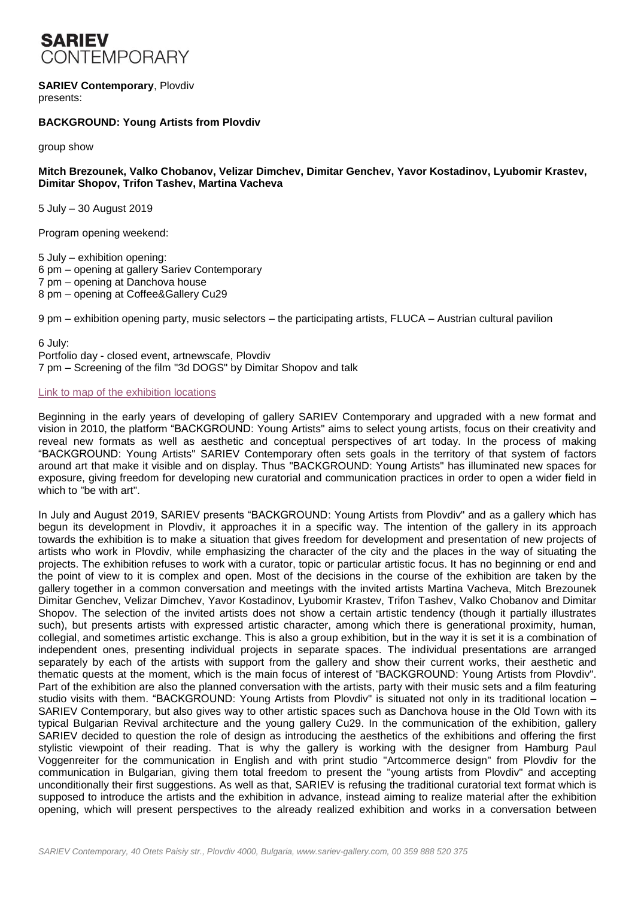

# **SARIEV Contemporary**, Plovdiv

presents:

#### **BACKGROUND: Young Artists from Plovdiv**

group show

#### **Mitch Brezounek, Valko Chobanov, Velizar Dimchev, Dimitar Genchev, Yavor Kostadinov, Lyubomir Krastev, Dimitar Shopov, Trifon Tashev, Martina Vacheva**

5 July – 30 August 2019

Program opening weekend:

5 July – exhibition opening: 6 pm – opening at gallery Sariev Contemporary 7 pm – opening at Danchova house 8 pm – opening at Coffee&Gallery Cu29

9 pm – exhibition opening party, music selectors – the participating artists, FLUCA – Austrian cultural pavilion

6 July:

Portfolio day - closed event, artnewscafe, Plovdiv 7 pm – Screening of the film "3d DOGS" by Dimitar Shopov and talk

#### Link to map of [the exhibition locations](http://sariev-gallery.com/data/exhibitions/95/Background_Map_EN.pdf)

Beginning in the early years of developing of gallery SARIEV Contemporary and upgraded with a new format and vision in 2010, the platform "BACKGROUND: Young Artists" aims to select young artists, focus on their creativity and reveal new formats as well as aesthetic and conceptual perspectives of art today. In the process of making "BACKGROUND: Young Artists" SARIEV Contemporary often sets goals in the territory of that system of factors around art that make it visible and on display. Thus "BACKGROUND: Young Artists" has illuminated new spaces for exposure, giving freedom for developing new curatorial and communication practices in order to open a wider field in which to "be with art".

In July and August 2019, SARIEV presents "BACKGROUND: Young Artists from Plovdiv" and as a gallery which has begun its development in Plovdiv, it approaches it in a specific way. The intention of the gallery in its approach towards the exhibition is to make a situation that gives freedom for development and presentation of new projects of artists who work in Plovdiv, while emphasizing the character of the city and the places in the way of situating the projects. The exhibition refuses to work with a curator, topic or particular artistic focus. It has no beginning or end and the point of view to it is complex and open. Most of the decisions in the course of the exhibition are taken by the gallery together in a common conversation and meetings with the invited artists Martina Vacheva, Mitch Brezounek Dimitar Genchev, Velizar Dimchev, Yavor Kostadinov, Lyubomir Krastev, Trifon Tashev, Valko Chobanov and Dimitar Shopov. The selection of the invited artists does not show a certain artistic tendency (though it partially illustrates such), but presents artists with expressed artistic character, among which there is generational proximity, human, collegial, and sometimes artistic exchange. This is also a group exhibition, but in the way it is set it is a combination of independent ones, presenting individual projects in separate spaces. The individual presentations are arranged separately by each of the artists with support from the gallery and show their current works, their aesthetic and thematic quests at the moment, which is the main focus of interest of "BACKGROUND: Young Artists from Plovdiv". Part of the exhibition are also the planned conversation with the artists, party with their music sets and a film featuring studio visits with them. "BACKGROUND: Young Artists from Plovdiv" is situated not only in its traditional location – SARIEV Contemporary, but also gives way to other artistic spaces such as Danchova house in the Old Town with its typical Bulgarian Revival architecture and the young gallery Cu29. In the communication of the exhibition, gallery SARIEV decided to question the role of design as introducing the aesthetics of the exhibitions and offering the first stylistic viewpoint of their reading. That is why the gallery is working with the designer from Hamburg Paul Voggenreiter for the communication in English and with print studio "Artcommerce design" from Plovdiv for the communication in Bulgarian, giving them total freedom to present the "young artists from Plovdiv" and accepting unconditionally their first suggestions. As well as that, SARIEV is refusing the traditional curatorial text format which is supposed to introduce the artists and the exhibition in advance, instead aiming to realize material after the exhibition opening, which will present perspectives to the already realized exhibition and works in a conversation between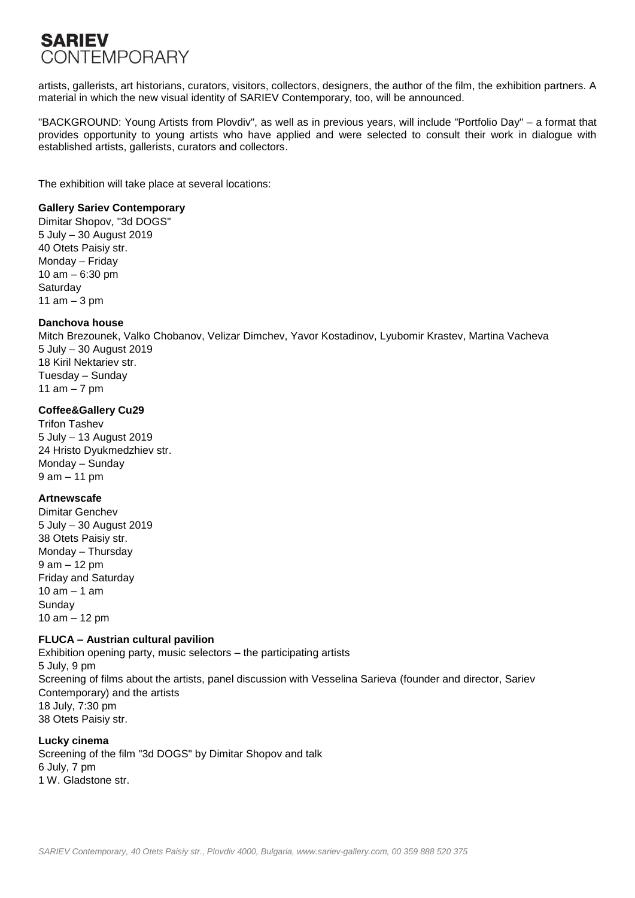# **SARIEV CONTEMPORARY**

artists, gallerists, art historians, curators, visitors, collectors, designers, the author of the film, the exhibition partners. A material in which the new visual identity of SARIEV Contemporary, too, will be announced.

"BACKGROUND: Young Artists from Plovdiv", as well as in previous years, will include "Portfolio Day" – a format that provides opportunity to young artists who have applied and were selected to consult their work in dialogue with established artists, gallerists, curators and collectors.

The exhibition will take place at several locations:

#### **Gallery Sariev Contemporary**

Dimitar Shopov, "3d DOGS" 5 July – 30 August 2019 40 Otets Paisiy str. Monday – Friday 10 am – 6:30 pm **Saturday** 11 am  $-3$  pm

### **Danchova house**

Mitch Brezounek, Valko Chobanov, Velizar Dimchev, Yavor Kostadinov, Lyubomir Krastev, Martina Vacheva 5 July – 30 August 2019 18 Kiril Nektariev str. Tuesday – Sunday 11 am  $-7$  pm

## **Coffee&Gallery Cu29**

Trifon Tashev 5 July – 13 August 2019 24 Hristo Dyukmedzhiev str. Monday – Sunday 9 am – 11 pm

### **Artnewscafe**

Dimitar Genchev 5 July – 30 August 2019 38 Otets Paisiy str. Monday – Thursday 9 am – 12 pm Friday and Saturday 10 am – 1 am Sunday 10 am – 12 pm

### **FLUCA – Austrian cultural pavilion**

Exhibition opening party, music selectors – the participating artists 5 July, 9 pm Screening of films about the artists, panel discussion with Vesselina Sarieva (founder and director, Sariev Contemporary) and the artists 18 July, 7:30 pm 38 Otets Paisiy str.

### **Lucky cinema**

Screening of the film "3d DOGS" by Dimitar Shopov and talk 6 July, 7 pm 1 W. Gladstone str.